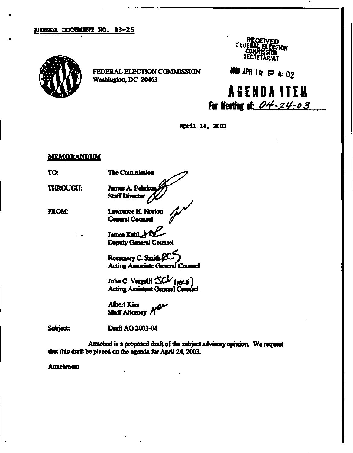## **AGENDA DOCUMENT NO, 03-25**



**FEDERAL ELECTION COMMISSION Washington, DC 20463** 



**NM APR |i | p ". <sup>0</sup> <sup>2</sup>**

## **A6ENDAITE M For Meeting fl£ 04-24-03**

**April 14, 2003** 

## **MEMORANDUM**

**TO:** 

**THROUGH:** 

**James A. Pehrkon Staff Director** 

**The Commission** *^ ^* 

**FROM:** 

**f Lawrence H. Norton General Counsel** 

**James Kahl Deputy General Counsel** 

**Rosemary C. Smith**  $\mathbb{R}^{\mathbb{C}}$ **Acting Associate General Counsel** 

John C. Vergelli  $\text{KV}$  *(ge*-5) **Acting Assistant General Counsel** 

**Albert Kiss Staff Attorney f** 

**Subject: Draft AO 2003-04** 

**Attached is a proposed draft of the subject advisory opinion. We request that mis draft be placed on the agenda for April 24,2003.** 

**Attachment**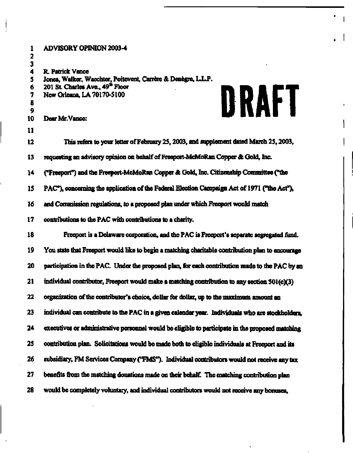| 1<br>$\mathbf{2}$                     | <b>ADVISORY OPINION 2003-4</b>                                                                                                                                                                     |  |
|---------------------------------------|----------------------------------------------------------------------------------------------------------------------------------------------------------------------------------------------------|--|
| 3<br>4<br>5<br>6<br>7<br>8<br>9<br>10 | <b>R. Patrick Vance</b><br>Jones, Walker, Wacchter, Poitevent, Carrère & Denègre, L.L.P.<br>201 St. Charles Ave., 49 <sup>th</sup> Floor<br>DRAFT<br>New Orleans, LA 70170-5100<br>Dear Mr. Vance: |  |
| 11                                    |                                                                                                                                                                                                    |  |
| 12                                    | This refers to your letter of February 25, 2003, and supplement dated March 25, 2003.                                                                                                              |  |
| 13                                    | requesting an advisory opinion on behalf of Freeport-McMoRan Copper & Gold, Inc.                                                                                                                   |  |
| 14                                    | ("Freeport") and the Freeport-McMoRan Copper & Gold, Inc. Citizenship Committee ("the                                                                                                              |  |
| 15                                    | PAC"), concerning the application of the Federal Election Campaign Act of 1971 ("the Act"),                                                                                                        |  |
| 16                                    | and Commission regulations, to a proposed plan under which Freeport would match                                                                                                                    |  |
| 17                                    | contributions to the PAC with contributions to a charity.                                                                                                                                          |  |
| 18                                    | Freeport is a Delaware corporation, and the PAC is Freeport's separate segregated fund.                                                                                                            |  |
| 19                                    | You state that Freeport would like to begin a matching charitable contribution plan to encourage                                                                                                   |  |
| 20                                    | participation in the PAC. Under the proposed plan, for each contribution made to the PAC by an                                                                                                     |  |
| 21                                    | individual contributor, Freeport would make a matching contribution to any section 501(c)(3)                                                                                                       |  |
| 22                                    | organization of the contributor's choice, dollar for dollar, up to the maximum amount an                                                                                                           |  |
| 23                                    | individual can contribute to the PAC in a given calendar year. Individuals who are stockholders,                                                                                                   |  |
| 24                                    | executives or administrative personnel would be eligible to participate in the proposed matching                                                                                                   |  |
| 25                                    | contribution plan. Solicitations would be made both to eligible individuals at Freeport and its                                                                                                    |  |
| 26                                    | subsidiary, FM Services Company ("FMS"). Individual contributors would not receive any tax                                                                                                         |  |
| 27                                    | benefits from the matching donations made on their behalf. The matching contribution plan                                                                                                          |  |
| 28                                    | would be completely voluntary, and individual contributors would not receive any borases,                                                                                                          |  |

**• I** 

**I I i**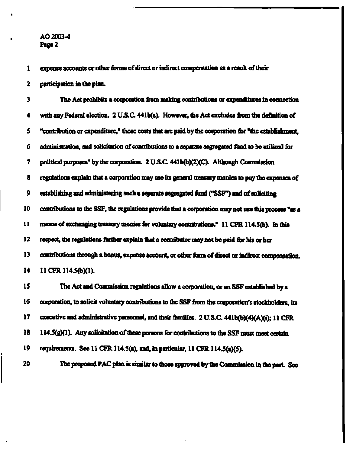**AO 2003-4 Page 2** 

**1 expense accounts or other forms of direct or indirect compensation as a result of their** 

**2 participation in the plan.** 

**3 The Act prohibits a coiporation from making contributions or expenditures in connection 4 with any Federal election. 2 U.S.C. 441b(a). However, the Act excludes from the definition of 5 "contribution or expenditure," those costs that are paid by the corporation for "the establishment, 6 administration, and solicitation of contributions to a separate segregated fund to be utilized for 7 political purposes" by the corporation. 2 U.S.C. 441b(b)(2XC). Although Commission 8 regulations explain that a corporation may use its general treasury monies to pay the expenses of 9 establishing and administering such a separate segregated fund ("SSF") and of soliciting 10 contributions to the SSF, the regulations provide that a corporation may not use this process "as a 11 means of exchanging treasury monies for voluntary contributions." 11 CFR 114.5(b). m this**  12 respect, the regulations further explain that a contributor may not be paid for his or her **13 contributions through a bonus, expense account, or other form of direct or indirect compensation, 14 11 CFR 114.5(b)(1). 15 The Act and Commission regulations allow a corporation, or an SSF established by a 16 corporation, to solicit voluntary contributions to the SSF from the corporation's stockholders, its**  17 executive and administrative personnel, and their families. 2 U.S.C. 441b(b)(4)(A)(i); 11 CFR 18 114.5(g)(1). Any solicitation of these persons for contributions to the SSF must meet certain

**19 requirements. See 11 CFR 114.5(a), and, in particular, 11 CFR U4.5(aX5).** 

**20 The proposed PAC plan is similar to those approved by the Commission in the past See**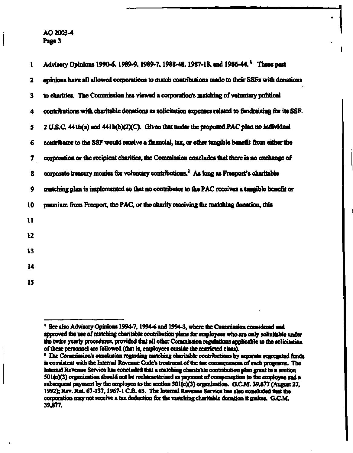**AO 2003-4 Page 3** 

| 1            | Advisory Opinions 1990-6, 1989-9, 1989-7, 1988-48, 1987-18, and 1986-44. These past                  |
|--------------|------------------------------------------------------------------------------------------------------|
| $\mathbf{2}$ | opinions have all allowed corporations to match contributions made to their SSFs with donations      |
| 3            | to charities. The Commission has viewed a corporation's matching of voluntary political              |
| 4            | contributions with charitable donations as solicitation expenses related to fundraising for its SSF. |
| 5            | 2 U.S.C. 441b(a) and 441b(b)(2)(C). Given that under the proposed PAC plan no individual             |
| 6            | contributor to the SSF would receive a financial, tax, or other tangible benefit from either the     |
| 7            | corporation or the recipient charities, the Commission concludes that there is no exchange of        |
| 8            | corporate treasury monies for voluntary contributions. <sup>2</sup> As long as Freeport's charitable |
| 9            | matching plan is implemented so that no contributor to the PAC receives a tangible benefit or        |
| 10           | premium from Freeport, the PAC, or the charity receiving the matching donation, this                 |
| 11           |                                                                                                      |
| 12           |                                                                                                      |
| 13           |                                                                                                      |
| 14           |                                                                                                      |
| 15           |                                                                                                      |
|              |                                                                                                      |

**I** 

<sup>&</sup>lt;sup>1</sup> See also Advisory Opinions 1994-7, 1994-6 and 1994-3, where the Commission considered and **approved the use of matching charitable contribution plans for employees who are only solicitable under the twice yearly procedures, provided that all other Commission regulations applicable to the solicitation of these personnel are followed (that is, employees outside the restricted class).** 

<sup>&</sup>lt;sup>2</sup> The Commission's conclusion regarding matching charitable contributions by separate segregated funds **is consistent with the Internal Revenue Code's treatment of the tax consequences of such programs. The Internal Revenue Service has concluded that a matching charitable contribution plan grant to a section 501(cX3) organization should not be recharacterized as payment of compensation to the employee and a subsequent payment by the employee to the section 501(c)(3) organization. G.GM. 39,877 (August 27, 1992); Rev. Rul. 67-137,1967-1 C.B. 63. The Internal Revenue Service has also concluded that the corporation may not receive a tax deduction for the matching charitable donation it makes. CCM. 39,877.**